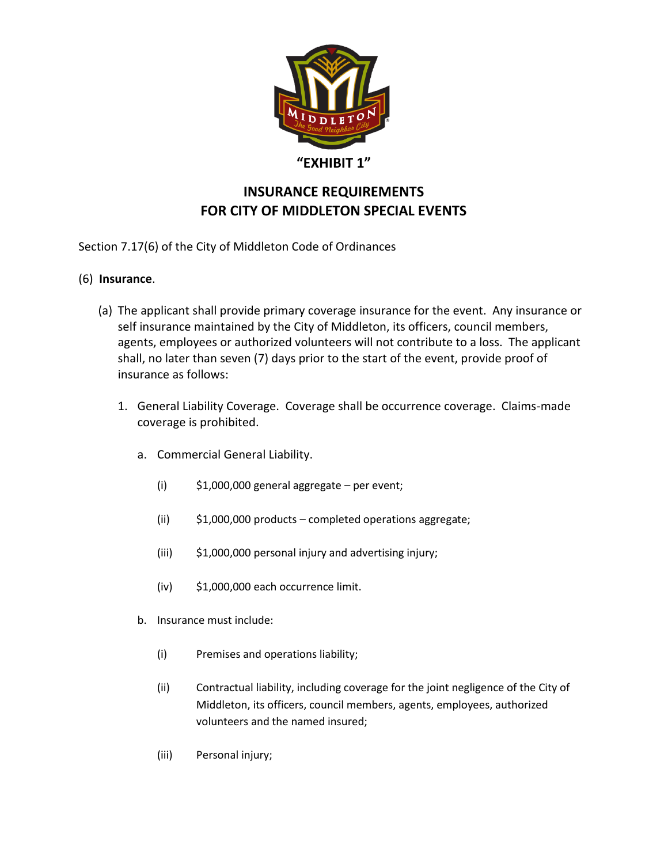

## **"EXHIBIT 1"**

## **INSURANCE REQUIREMENTS FOR CITY OF MIDDLETON SPECIAL EVENTS**

Section 7.17(6) of the City of Middleton Code of Ordinances

## (6) **Insurance**.

- (a) The applicant shall provide primary coverage insurance for the event. Any insurance or self insurance maintained by the City of Middleton, its officers, council members, agents, employees or authorized volunteers will not contribute to a loss. The applicant shall, no later than seven (7) days prior to the start of the event, provide proof of insurance as follows:
	- 1. General Liability Coverage. Coverage shall be occurrence coverage. Claims-made coverage is prohibited.
		- a. Commercial General Liability.
			- (i)  $$1,000,000$  general aggregate per event;
			- (ii) \$1,000,000 products completed operations aggregate;
			- (iii) \$1,000,000 personal injury and advertising injury;
			- (iv) \$1,000,000 each occurrence limit.
		- b. Insurance must include:
			- (i) Premises and operations liability;
			- (ii) Contractual liability, including coverage for the joint negligence of the City of Middleton, its officers, council members, agents, employees, authorized volunteers and the named insured;
			- (iii) Personal injury;